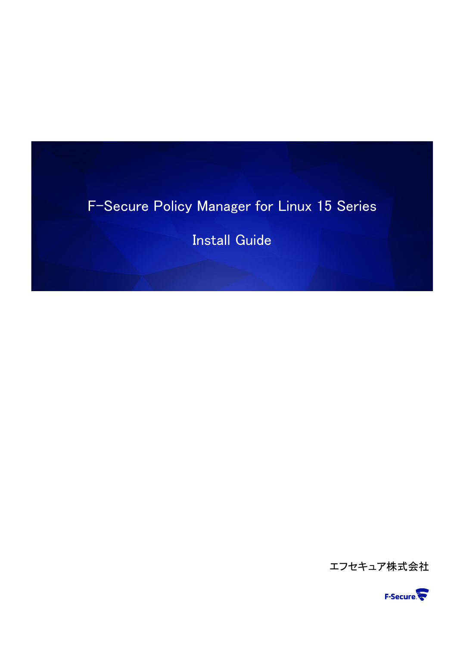# F-Secure Policy Manager for Linux 15 Series

Install Guide

エフセキュア株式会社

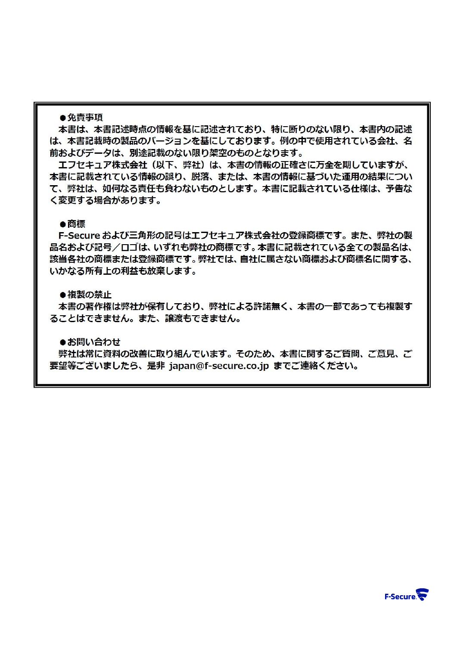#### ●免青事項

本書は、本書記述時点の情報を基に記述されており、特に断りのない限り、本書内の記述 は、本書記載時の製品のバージョンを基にしております。例の中で使用されている会社、名 前およびデータは、別途記載のない限り架空のものとなります。

エフヤキュア株式会社(以下、弊社)は、本書の情報の正確さに万全を期していますが、 本書に記載されている情報の誤り、脱落、または、本書の情報に基づいた運用の結果につい て、弊社は、如何なる責任も負わないものとします。本書に記載されている仕様は、予告な く変更する場合があります。

## ●商標

F-Secure および三角形の記号はエフセキュア株式会社の登録商標です。また、弊社の製 品名および記号/ロゴは、いずれも弊社の商標です。本書に記載されている全ての製品名は、 該当各社の商標または登録商標です。弊社では、自社に属さない商標および商標名に関する、 いかなる所有上の利益も放棄します。

#### ●複製の禁止

本書の著作権は弊社が保有しており、弊社による許諾無く、本書の一部であっても複製す ることはできません。また、譲渡もできません。

●お問い合わせ

弊社は常に資料の改善に取り組んでいます。そのため、本書に関するご質問、ご意見、ご 要望等ございましたら、是非 iapan@f-secure.co.ip までご連絡ください。

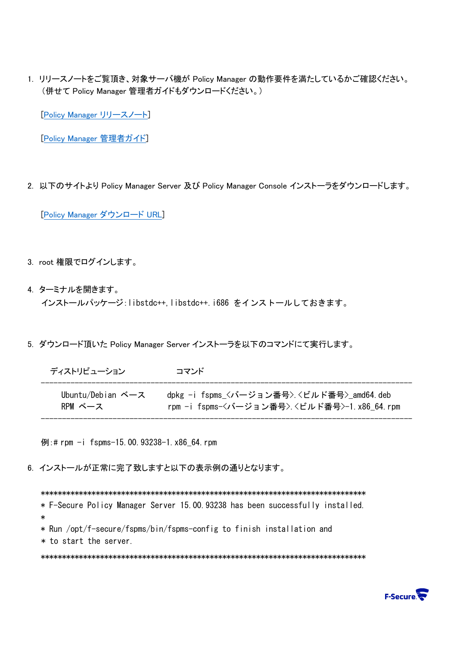1. リリースノートをご覧頂き、対象サーバ機が Policy Manager の動作要件を満たしているかご確認ください。 (併せて Policy Manager 管理者ガイドもダウンロードください。)

[\[Policy Manager](https://help.f-secure.com/product.html#business/releasenotes-business/latest/en/fspm_linux-latest-en) リリースノート]

[\[Policy Manager](https://help.f-secure.com/product.html#business/policy-manager/15.10/ja) 管理者ガイド]

2. 以下のサイトより Policy Manager Server 及び Policy Manager Console インストーラをダウンロードします。

[\[Policy Manager](https://www.f-secure.com/en/business/downloads/policy-manager-for-linux) ダウンロード URL]

- 3. root 権限でログインします。
- 4. ターミナルを開きます。 インストールパッケージ:libstdc++,libstdc++.i686 をインストールしておきます。
- 5. ダウンロード頂いた Policy Manager Server インストーラを以下のコマンドにて実行します。

| ディストリビューション       | コマンド                                        |
|-------------------|---------------------------------------------|
| Ubuntu/Debian ベース | dpkg -i fspms 〈バージョン番号〉〈ビルド番号〉amd64.deb     |
| RPM ベース           | rpm -i fspms-〈バージョン番号〉 〈ビルド番号〉-1.x86_64.rpm |

----------------------------------------------------------------------------------------

例:# rpm -i fspms-15.00.93238-1.x86\_64.rpm

6. インストールが正常に完了致しますと以下の表示例の通りとなります。

\*\*\*\*\*\*\*\*\*\*\*\*\*\*\*\*\*\*\*\*\*\*\*\*\*\*\*\*\*\*\*\*\*\*\*\*\*\*\*\*\*\*\*\*\*\*\*\*\*\*\*\*\*\*\*\*\*\*\*\*\*\*\*\*\*\*\*\*\*\*\*\*\*\*\*\*\* \* F-Secure Policy Manager Server 15.00.93238 has been successfully installed. \* \* Run /opt/f-secure/fspms/bin/fspms-config to finish installation and \* to start the server. \*\*\*\*\*\*\*\*\*\*\*\*\*\*\*\*\*\*\*\*\*\*\*\*\*\*\*\*\*\*\*\*\*\*\*\*\*\*\*\*\*\*\*\*\*\*\*\*\*\*\*\*\*\*\*\*\*\*\*\*\*\*\*\*\*\*\*\*\*\*\*\*\*\*\*\*\*

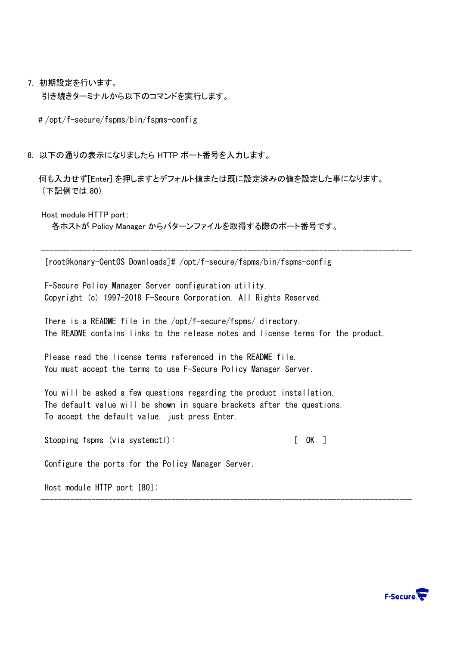7. 初期設定を行います。

引き続きターミナルから以下のコマンドを実行します。

# /opt/f-secure/fspms/bin/fspms-config

8. 以下の通りの表示になりましたら HTTP ポート番号を入力します。

 何も入力せず[Enter] を押しますとデフォルト値または既に設定済みの値を設定した事になります。 (下記例では 80)

Host module HTTP port:

各ホストが Policy Manager からパターンファイルを取得する際のポート番号です。

[root@konary-CentOS Downloads]# /opt/f-secure/fspms/bin/fspms-config

F-Secure Policy Manager Server configuration utility. Copyright (c) 1997-2018 F-Secure Corporation. All Rights Reserved.

There is a README file in the /opt/f-secure/fspms/ directory. The README contains links to the release notes and license terms for the product.

----------------------------------------------------------------------------------------

----------------------------------------------------------------------------------------

Please read the license terms referenced in the README file. You must accept the terms to use F-Secure Policy Manager Server.

You will be asked a few questions regarding the product installation. The default value will be shown in square brackets after the questions. To accept the default value, just press Enter.

Stopping fspms (via systemctl): [ OK ]

Configure the ports for the Policy Manager Server.

Host module HTTP port [80]:

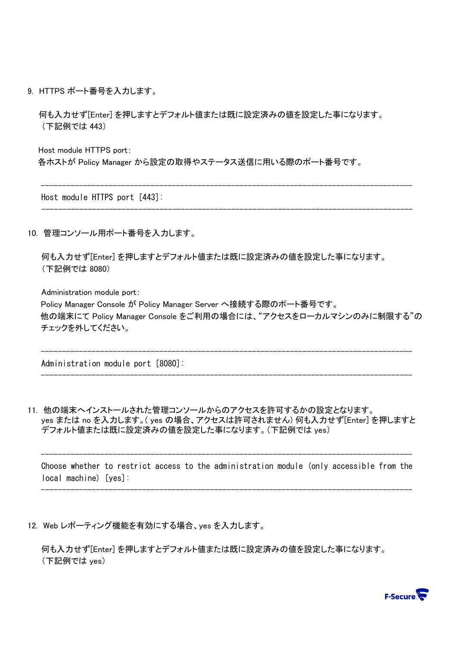9. HTTPS ポート番号を入力します。

 何も入力せず[Enter] を押しますとデフォルト値または既に設定済みの値を設定した事になります。 (下記例では 443)

----------------------------------------------------------------------------------------

----------------------------------------------------------------------------------------

 Host module HTTPS port: 各ホストが Policy Manager から設定の取得やステータス送信に用いる際のポート番号です。

Host module HTTPS port [443]:

10. 管理コンソール用ポート番号を入力します。

何も入力せず[Enter] を押しますとデフォルト値または既に設定済みの値を設定した事になります。 (下記例では 8080)

Administration module port:

 Policy Manager Console が Policy Manager Server へ接続する際のポート番号です。 他の端末にて Policy Manager Console をご利用の場合には、"アクセスをローカルマシンのみに制限する"の チェックを外してください。

----------------------------------------------------------------------------------------

----------------------------------------------------------------------------------------

Administration module port [8080]:

11. 他の端末へインストールされた管理コンソールからのアクセスを許可するかの設定となります。 yes または no を入力します。( yes の場合、アクセスは許可されません) 何も入力せず[Enter] を押しますと デフォルト値または既に設定済みの値を設定した事になります。(下記例では yes)

Choose whether to restrict access to the administration module (only accessible from the local machine) [yes]:

----------------------------------------------------------------------------------------

----------------------------------------------------------------------------------------

12. Web レポーティング機能を有効にする場合、yes を入力します。

何も入力せず[Enter] を押しますとデフォルト値または既に設定済みの値を設定した事になります。 (下記例では yes)

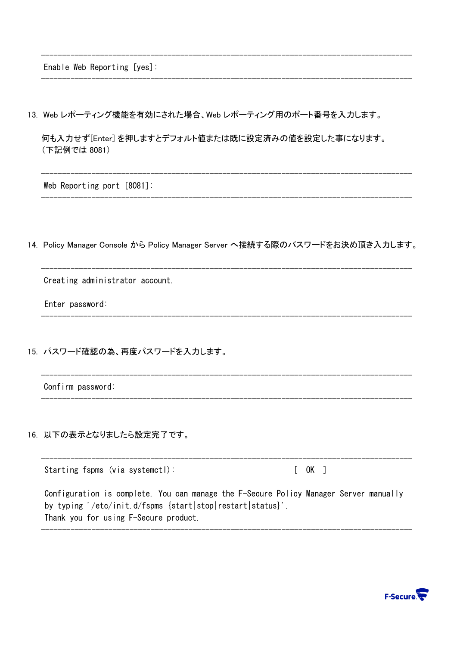Enable Web Reporting [yes]:

13. Web レポーティング機能を有効にされた場合、Web レポーティング用のポート番号を入力します。

何も入力せず[Enter] を押しますとデフォルト値または既に設定済みの値を設定した事になります。 (下記例では 8081)

----------------------------------------------------------------------------------------

----------------------------------------------------------------------------------------

----------------------------------------------------------------------------------------

----------------------------------------------------------------------------------------

Web Reporting port [8081]:

14. Policy Manager Console から Policy Manager Server へ接続する際のパスワードをお決め頂き入力します。

----------------------------------------------------------------------------------------

----------------------------------------------------------------------------------------

----------------------------------------------------------------------------------------

----------------------------------------------------------------------------------------

Creating administrator account.

Enter password:

15. パスワード確認の為、再度パスワードを入力します。

Confirm password:

16. 以下の表示となりましたら設定完了です。

---------------------------------------------------------------------------------------- Starting fspms (via systemctl):  $[OK]$ Configuration is complete. You can manage the F-Secure Policy Manager Server manually by typing '/etc/init.d/fspms {start|stop|restart|status}'. Thank you for using F-Secure product.

----------------------------------------------------------------------------------------

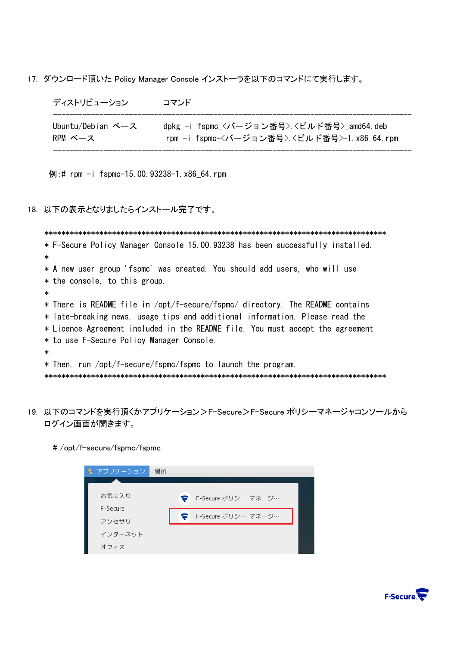17. ダウンロード頂いた Policy Manager Console インストーラを以下のコマンドにて実行します。

| ディストリビューション             | コマンド                                       |
|-------------------------|--------------------------------------------|
| Ubuntu/Debian $\sim -z$ | dpkg -i fspmc_<バージョン番号> <ビルド番号> amd64.deb  |
| RPM ベース                 | rpm -i fspmc-〈バージョン番号〉〈ビルド番号〉-1.x86 64.rpm |

例:# rpm -i fspmc-15.00.93238-1.x86\_64.rpm

## 18. 以下の表示となりましたらインストール完了です。

```
 *********************************************************************************
* F-Secure Policy Manager Console 15.00.93238 has been successfully installed. 
* 
* A new user group 'fspmc' was created. You should add users, who will use 
* the console, to this group. 
* 
* There is README file in /opt/f-secure/fspmc/ directory. The README contains 
* late-breaking news, usage tips and additional information. Please read the
* Licence Agreement included in the README file. You must accept the agreement 
* to use F-Secure Policy Manager Console. 
* 
* Then, run /opt/f-secure/fspmc/fspmc to launch the program. 
*********************************************************************************
```
- 19. 以下のコマンドを実行頂くかアプリケーション>F-Secure>F-Secure ポリシーマネージャコンソールから ログイン画面が開きます。
	- # /opt/f-secure/fspmc/fspmc

| 竈 アプリケーション | 場所                       |  |
|------------|--------------------------|--|
|            |                          |  |
| お気に入り      | F-Secure ポリシー マネージ…<br>ς |  |
| F-Secure   | F-Secure ポリシー マネージ…      |  |
| アクセサリ      |                          |  |
| インターネット    |                          |  |
| オフィス       |                          |  |

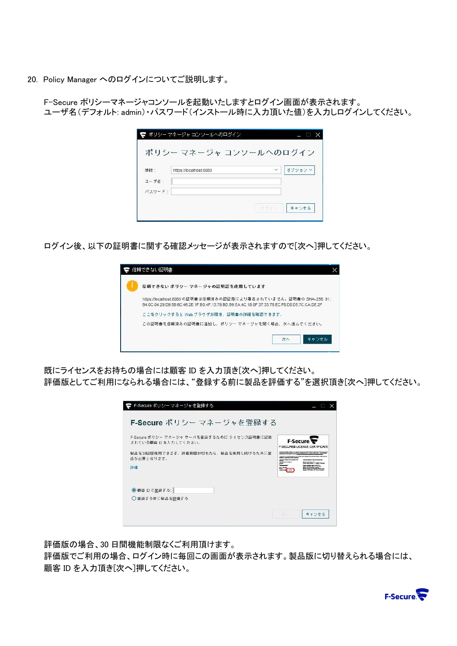20. Policy Manager へのログインについてご説明します。

 F-Secure ポリシーマネージャコンソールを起動いたしますとログイン画面が表示されます。 ユーザ名(デフォルト: admin)・パスワード(インストール時に入力頂いた値)を入力しログインしてください。

|        | ポリシー マネージャ コンソールへのログイン |              |        |
|--------|------------------------|--------------|--------|
|        | ポリシー マネージャ コンソールへのログイン |              |        |
| 接続:    | https://localhost:8080 | $\checkmark$ | オブションマ |
| ユーザ名:  |                        |              |        |
| パスワード: |                        |              |        |
|        |                        | 百万イン         | キャンセル  |
|        |                        |              |        |

ログイン後、以下の証明書に関する確認メッセージが表示されますので[次へ]押してください。

| 信頼できない ボリシー マネージャの証明証を使用しています                                                                                                                                      |
|--------------------------------------------------------------------------------------------------------------------------------------------------------------------|
| https://localhost:8080 の証明書は信頼済みの認証局により署名されていません。証明書の SHA-256: 91:<br>B4:0C:04:29:D9:58:6C:46:2E:1F:B0:4F:13:79:BD:B9:EA:4C:18:0F:37:33:76:EC:F8:D8:D5:7C:CA:DE:2F |
| ここをクリックすると Web ブラウザが開き、証明書の詳細を確認できます。                                                                                                                              |
| この証明書を信頼済みの証明書に追加し、ポリシー マネージャを開く場合、次へ進んでください。                                                                                                                      |

 既にライセンスをお持ちの場合には顧客 ID を入力頂き[次へ]押してください。 評価版としてご利用になられる場合には、"登録する前に製品を評価する"を選択頂き[次へ]押してください。

| F-Secure ポリシー マネージャを登録する                                           |                                                   |
|--------------------------------------------------------------------|---------------------------------------------------|
| F-Secure ポリシー マネージャ サーバを登録するために ライセンス証明書に記載<br>されている砸容 Dを入力してください。 | F-Secure.<br><b>F-SECURES LICENSE CERTIFICATE</b> |
| 製品を30日間使用できます。評価期間が切れたら、製品を使用し続けるために登<br>緑が必要となります。<br>詳細          |                                                   |
| ● 顧客 IDで登録する:                                                      |                                                   |
| ◯ 登録する前に製品を評価する                                                    |                                                   |

評価版の場合、30 日間機能制限なくご利用頂けます。

 評価版でご利用の場合、ログイン時に毎回この画面が表示されます。製品版に切り替えられる場合には、 顧客 ID を入力頂き[次へ]押してください。